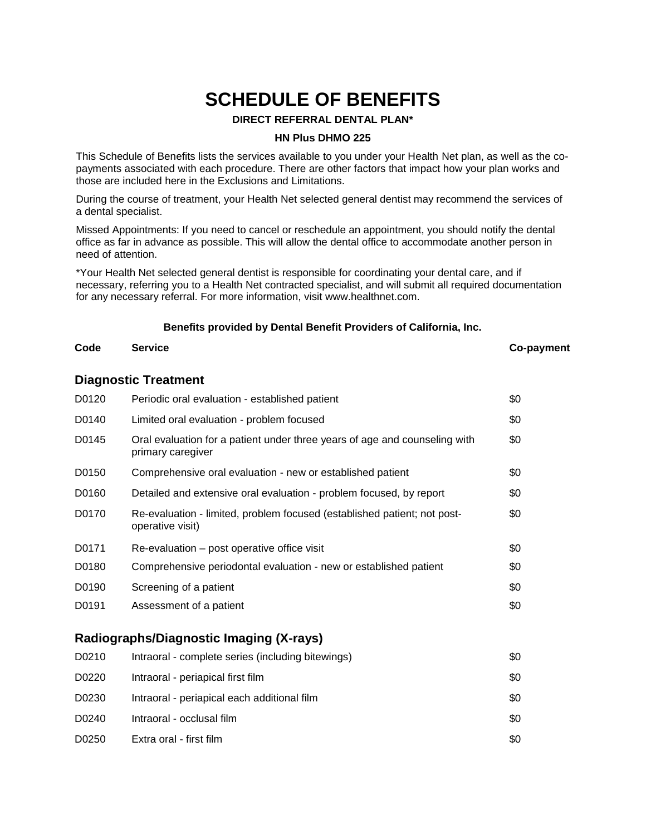# **SCHEDULE OF BENEFITS**

### **DIRECT REFERRAL DENTAL PLAN\***

### **HN Plus DHMO 225**

This Schedule of Benefits lists the services available to you under your Health Net plan, as well as the copayments associated with each procedure. There are other factors that impact how your plan works and those are included here in the Exclusions and Limitations.

During the course of treatment, your Health Net selected general dentist may recommend the services of a dental specialist.

Missed Appointments: If you need to cancel or reschedule an appointment, you should notify the dental office as far in advance as possible. This will allow the dental office to accommodate another person in need of attention.

\*Your Health Net selected general dentist is responsible for coordinating your dental care, and if necessary, referring you to a Health Net contracted specialist, and will submit all required documentation for any necessary referral. For more information, visit www.healthnet.com.

# **Benefits provided by Dental Benefit Providers of California, Inc. Code Service Co-payment**

# **Diagnostic Treatment**

| D0120 | Periodic oral evaluation - established patient                                                  | \$0 |
|-------|-------------------------------------------------------------------------------------------------|-----|
| D0140 | Limited oral evaluation - problem focused                                                       | \$0 |
| D0145 | Oral evaluation for a patient under three years of age and counseling with<br>primary caregiver | \$0 |
| D0150 | Comprehensive oral evaluation - new or established patient                                      | \$0 |
| D0160 | Detailed and extensive oral evaluation - problem focused, by report                             | \$0 |
| D0170 | Re-evaluation - limited, problem focused (established patient; not post-<br>operative visit)    | \$0 |
| D0171 | Re-evaluation – post operative office visit                                                     | \$0 |
| D0180 | Comprehensive periodontal evaluation - new or established patient                               | \$0 |
| D0190 | Screening of a patient                                                                          | \$0 |
| D0191 | Assessment of a patient                                                                         | \$0 |

### **Radiographs/Diagnostic Imaging (X-rays)**

| D0210 | Intraoral - complete series (including bitewings) | \$0 |
|-------|---------------------------------------------------|-----|
| D0220 | Intraoral - periapical first film                 | \$0 |
| D0230 | Intraoral - periapical each additional film       | \$0 |
| D0240 | Intraoral - occlusal film                         | \$0 |
| D0250 | Extra oral - first film<br>DHMO.SOB.HN01.CA       | \$0 |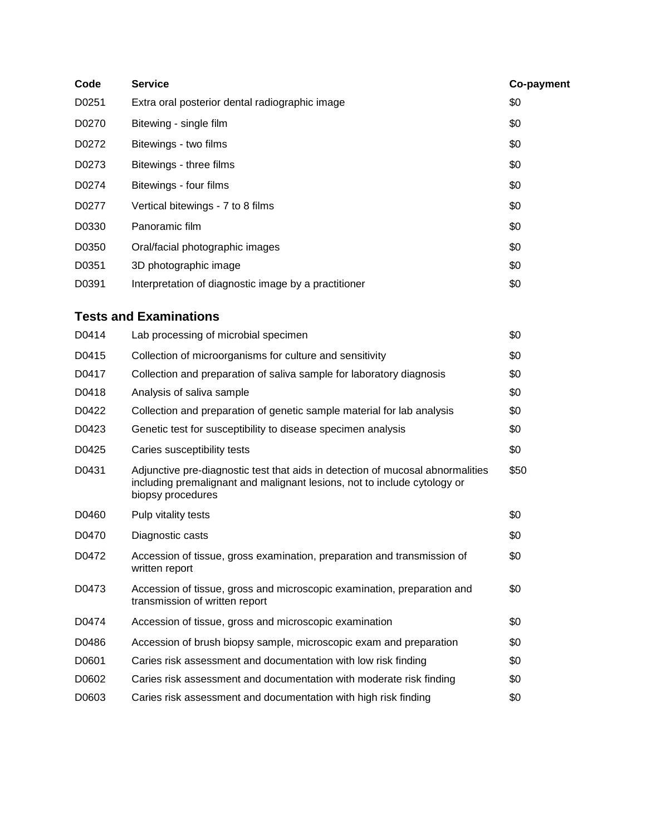| Code  | <b>Service</b>                                       | Co-payment |
|-------|------------------------------------------------------|------------|
| D0251 | Extra oral posterior dental radiographic image       | \$0        |
| D0270 | Bitewing - single film                               | \$0        |
| D0272 | Bitewings - two films                                | \$0        |
| D0273 | Bitewings - three films                              | \$0        |
| D0274 | Bitewings - four films                               | \$0        |
| D0277 | Vertical bitewings - 7 to 8 films                    | \$0        |
| D0330 | Panoramic film                                       | \$0        |
| D0350 | Oral/facial photographic images                      | \$0        |
| D0351 | 3D photographic image                                | \$0        |
| D0391 | Interpretation of diagnostic image by a practitioner | \$0        |

## **Tests and Examinations**

| D0414 | Lab processing of microbial specimen                                                                                                                                            | \$0  |
|-------|---------------------------------------------------------------------------------------------------------------------------------------------------------------------------------|------|
| D0415 | Collection of microorganisms for culture and sensitivity                                                                                                                        | \$0  |
| D0417 | Collection and preparation of saliva sample for laboratory diagnosis                                                                                                            | \$0  |
| D0418 | Analysis of saliva sample                                                                                                                                                       | \$0  |
| D0422 | Collection and preparation of genetic sample material for lab analysis                                                                                                          | \$0  |
| D0423 | Genetic test for susceptibility to disease specimen analysis                                                                                                                    | \$0  |
| D0425 | Caries susceptibility tests                                                                                                                                                     | \$0  |
| D0431 | Adjunctive pre-diagnostic test that aids in detection of mucosal abnormalities<br>including premalignant and malignant lesions, not to include cytology or<br>biopsy procedures | \$50 |
| D0460 | Pulp vitality tests                                                                                                                                                             | \$0  |
| D0470 | Diagnostic casts                                                                                                                                                                | \$0  |
| D0472 | Accession of tissue, gross examination, preparation and transmission of<br>written report                                                                                       | \$0  |
| D0473 | Accession of tissue, gross and microscopic examination, preparation and<br>transmission of written report                                                                       | \$0  |
| D0474 | Accession of tissue, gross and microscopic examination                                                                                                                          | \$0  |
| D0486 | Accession of brush biopsy sample, microscopic exam and preparation                                                                                                              | \$0  |
| D0601 | Caries risk assessment and documentation with low risk finding                                                                                                                  | \$0  |
| D0602 | Caries risk assessment and documentation with moderate risk finding                                                                                                             | \$0  |
| D0603 | Caries risk assessment and documentation with high risk finding                                                                                                                 | \$0  |

DHMO.SOB.HN01.CA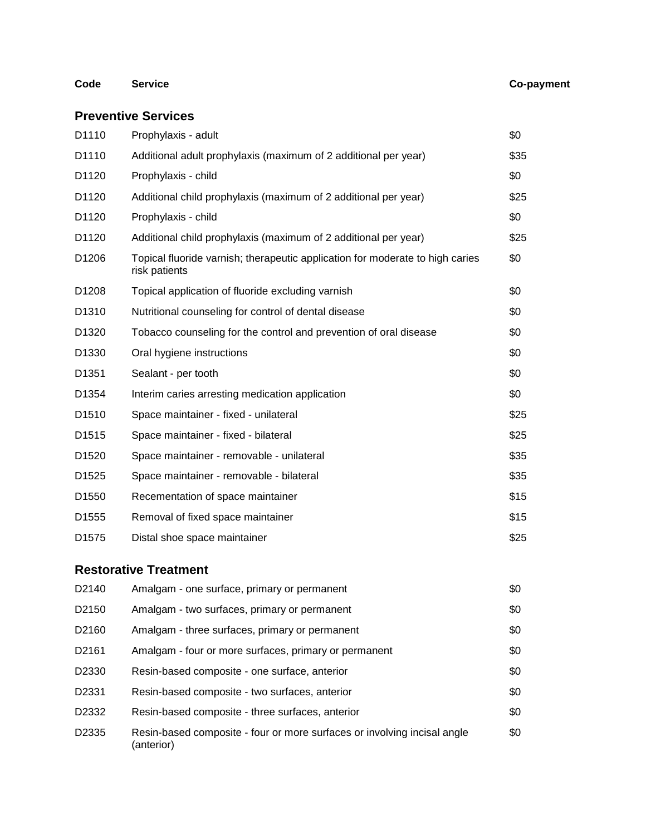### **Code Service Co-payment**

### **Preventive Services**

| D1110             | Prophylaxis - adult                                                                            | \$0  |
|-------------------|------------------------------------------------------------------------------------------------|------|
| D1110             | Additional adult prophylaxis (maximum of 2 additional per year)                                | \$35 |
| D1120             | Prophylaxis - child                                                                            | \$0  |
| D <sub>1120</sub> | Additional child prophylaxis (maximum of 2 additional per year)                                | \$25 |
| D1120             | Prophylaxis - child                                                                            | \$0  |
| D1120             | Additional child prophylaxis (maximum of 2 additional per year)                                | \$25 |
| D <sub>1206</sub> | Topical fluoride varnish; therapeutic application for moderate to high caries<br>risk patients | \$0  |
| D1208             | Topical application of fluoride excluding varnish                                              | \$0  |
| D1310             | Nutritional counseling for control of dental disease                                           | \$0  |
| D <sub>1320</sub> | Tobacco counseling for the control and prevention of oral disease                              | \$0  |
| D <sub>1330</sub> | Oral hygiene instructions                                                                      | \$0  |
| D1351             | Sealant - per tooth                                                                            | \$0  |
| D <sub>1354</sub> | Interim caries arresting medication application                                                | \$0  |
| D1510             | Space maintainer - fixed - unilateral                                                          | \$25 |
| D <sub>1515</sub> | Space maintainer - fixed - bilateral                                                           | \$25 |
| D <sub>1520</sub> | Space maintainer - removable - unilateral                                                      | \$35 |
| D1525             | Space maintainer - removable - bilateral                                                       | \$35 |
| D <sub>1550</sub> | Recementation of space maintainer                                                              | \$15 |
| D1555             | Removal of fixed space maintainer                                                              | \$15 |
| D1575             | Distal shoe space maintainer                                                                   | \$25 |
|                   |                                                                                                |      |

## **Restorative Treatment**

| D2140 | Amalgam - one surface, primary or permanent                                            | \$0 |
|-------|----------------------------------------------------------------------------------------|-----|
| D2150 | Amalgam - two surfaces, primary or permanent                                           | \$0 |
| D2160 | Amalgam - three surfaces, primary or permanent                                         | \$0 |
| D2161 | Amalgam - four or more surfaces, primary or permanent                                  | \$0 |
| D2330 | Resin-based composite - one surface, anterior                                          | \$0 |
| D2331 | Resin-based composite - two surfaces, anterior                                         | \$0 |
| D2332 | Resin-based composite - three surfaces, anterior                                       | \$0 |
| D2335 | Resin-based composite - four or more surfaces or involving incisal angle<br>(anterior) | \$0 |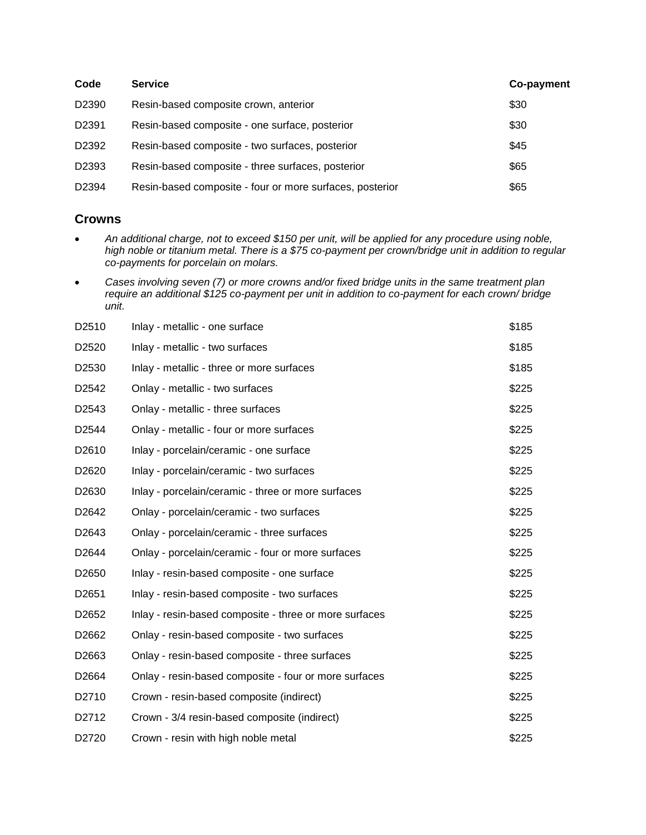| Code  | <b>Service</b>                                           | Co-payment |
|-------|----------------------------------------------------------|------------|
| D2390 | Resin-based composite crown, anterior                    | \$30       |
| D2391 | Resin-based composite - one surface, posterior           | \$30       |
| D2392 | Resin-based composite - two surfaces, posterior          | \$45       |
| D2393 | Resin-based composite - three surfaces, posterior        | \$65       |
| D2394 | Resin-based composite - four or more surfaces, posterior | \$65       |

### **Crowns**

- *An additional charge, not to exceed \$150 per unit, will be applied for any procedure using noble, high noble or titanium metal. There is a \$75 co-payment per crown/bridge unit in addition to regular co-payments for porcelain on molars.*
- *Cases involving seven (7) or more crowns and/or fixed bridge units in the same treatment plan require an additional \$125 co-payment per unit in addition to co-payment for each crown/ bridge unit.*

| D <sub>2510</sub> | Inlay - metallic - one surface                          | \$185 |
|-------------------|---------------------------------------------------------|-------|
| D2520             | Inlay - metallic - two surfaces                         | \$185 |
| D2530             | Inlay - metallic - three or more surfaces               | \$185 |
| D2542             | Onlay - metallic - two surfaces                         | \$225 |
| D <sub>2543</sub> | Onlay - metallic - three surfaces                       | \$225 |
| D <sub>2544</sub> | Onlay - metallic - four or more surfaces                | \$225 |
| D2610             | Inlay - porcelain/ceramic - one surface                 | \$225 |
| D <sub>2620</sub> | Inlay - porcelain/ceramic - two surfaces                | \$225 |
| D2630             | Inlay - porcelain/ceramic - three or more surfaces      | \$225 |
| D2642             | Onlay - porcelain/ceramic - two surfaces                | \$225 |
| D <sub>2643</sub> | Onlay - porcelain/ceramic - three surfaces              | \$225 |
| D2644             | Onlay - porcelain/ceramic - four or more surfaces       | \$225 |
| D <sub>2650</sub> | Inlay - resin-based composite - one surface             | \$225 |
| D2651             | Inlay - resin-based composite - two surfaces            | \$225 |
| D2652             | Inlay - resin-based composite - three or more surfaces  | \$225 |
| D <sub>2662</sub> | Onlay - resin-based composite - two surfaces            | \$225 |
| D2663             | Onlay - resin-based composite - three surfaces          | \$225 |
| D2664             | Onlay - resin-based composite - four or more surfaces   | \$225 |
| D <sub>2710</sub> | Crown - resin-based composite (indirect)                | \$225 |
| D2712             | Crown - 3/4 resin-based composite (indirect)            | \$225 |
| D2720             | Crown - resin with high noble metal<br>DHMO.SOB.HN01.CA | \$225 |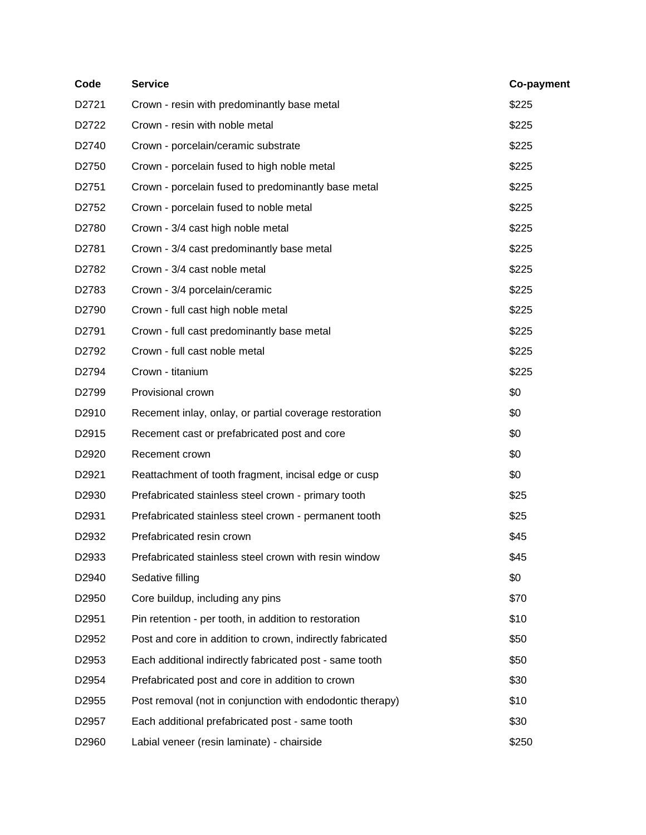| Code              | <b>Service</b>                                            | Co-payment |
|-------------------|-----------------------------------------------------------|------------|
| D2721             | Crown - resin with predominantly base metal               | \$225      |
| D2722             | Crown - resin with noble metal                            | \$225      |
| D2740             | Crown - porcelain/ceramic substrate                       | \$225      |
| D <sub>2750</sub> | Crown - porcelain fused to high noble metal               | \$225      |
| D2751             | Crown - porcelain fused to predominantly base metal       | \$225      |
| D2752             | Crown - porcelain fused to noble metal                    | \$225      |
| D2780             | Crown - 3/4 cast high noble metal                         | \$225      |
| D2781             | Crown - 3/4 cast predominantly base metal                 | \$225      |
| D2782             | Crown - 3/4 cast noble metal                              | \$225      |
| D2783             | Crown - 3/4 porcelain/ceramic                             | \$225      |
| D2790             | Crown - full cast high noble metal                        | \$225      |
| D2791             | Crown - full cast predominantly base metal                | \$225      |
| D2792             | Crown - full cast noble metal                             | \$225      |
| D2794             | Crown - titanium                                          | \$225      |
| D2799             | Provisional crown                                         | \$0        |
| D <sub>2910</sub> | Recement inlay, onlay, or partial coverage restoration    | \$0        |
| D <sub>2915</sub> | Recement cast or prefabricated post and core              | \$0        |
| D <sub>2920</sub> | Recement crown                                            | \$0        |
| D <sub>2921</sub> | Reattachment of tooth fragment, incisal edge or cusp      | \$0        |
| D <sub>2930</sub> | Prefabricated stainless steel crown - primary tooth       | \$25       |
| D <sub>2931</sub> | Prefabricated stainless steel crown - permanent tooth     | \$25       |
| D2932             | Prefabricated resin crown                                 | \$45       |
| D2933             | Prefabricated stainless steel crown with resin window     | \$45       |
| D2940             | Sedative filling                                          | \$0        |
| D2950             | Core buildup, including any pins                          | \$70       |
| D2951             | Pin retention - per tooth, in addition to restoration     | \$10       |
| D2952             | Post and core in addition to crown, indirectly fabricated | \$50       |
| D2953             | Each additional indirectly fabricated post - same tooth   | \$50       |
| D2954             | Prefabricated post and core in addition to crown          | \$30       |
| D <sub>2955</sub> | Post removal (not in conjunction with endodontic therapy) | \$10       |
| D2957             | Each additional prefabricated post - same tooth           | \$30       |
| D2960             | Labial veneer (resin laminate) - chairside                | \$250      |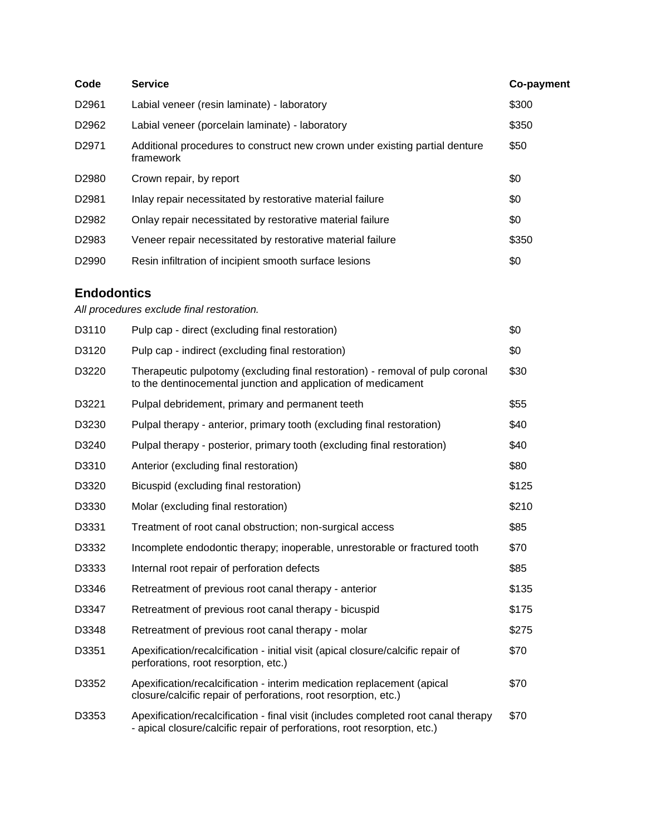| Code               | <b>Service</b>                                                                                                                                                 | Co-payment |
|--------------------|----------------------------------------------------------------------------------------------------------------------------------------------------------------|------------|
| D2961              | Labial veneer (resin laminate) - laboratory                                                                                                                    | \$300      |
| D2962              | Labial veneer (porcelain laminate) - laboratory                                                                                                                | \$350      |
| D2971              | Additional procedures to construct new crown under existing partial denture<br>framework                                                                       | \$50       |
| D <sub>2980</sub>  | Crown repair, by report                                                                                                                                        | \$0        |
| D <sub>2981</sub>  | Inlay repair necessitated by restorative material failure                                                                                                      | \$0        |
| D2982              | Onlay repair necessitated by restorative material failure                                                                                                      | \$0        |
| D <sub>2983</sub>  | Veneer repair necessitated by restorative material failure                                                                                                     | \$350      |
| D2990              | Resin infiltration of incipient smooth surface lesions                                                                                                         | \$0        |
| <b>Endodontics</b> |                                                                                                                                                                |            |
|                    | All procedures exclude final restoration.                                                                                                                      |            |
| D3110              | Pulp cap - direct (excluding final restoration)                                                                                                                | \$0        |
| D3120              | Pulp cap - indirect (excluding final restoration)                                                                                                              | \$0        |
| D3220              | Therapeutic pulpotomy (excluding final restoration) - removal of pulp coronal<br>to the dentinocemental junction and application of medicament                 | \$30       |
| D3221              | Pulpal debridement, primary and permanent teeth                                                                                                                | \$55       |
| D3230              | Pulpal therapy - anterior, primary tooth (excluding final restoration)                                                                                         | \$40       |
| D3240              | Pulpal therapy - posterior, primary tooth (excluding final restoration)                                                                                        | \$40       |
| D3310              | Anterior (excluding final restoration)                                                                                                                         | \$80       |
| D3320              | Bicuspid (excluding final restoration)                                                                                                                         | \$125      |
| D3330              | Molar (excluding final restoration)                                                                                                                            | \$210      |
| D3331              | Treatment of root canal obstruction; non-surgical access                                                                                                       | \$85       |
| D3332              | Incomplete endodontic therapy; inoperable, unrestorable or fractured tooth                                                                                     | \$70       |
| D3333              | Internal root repair of perforation defects                                                                                                                    | \$85       |
| D3346              | Retreatment of previous root canal therapy - anterior                                                                                                          | \$135      |
| D3347              | Retreatment of previous root canal therapy - bicuspid                                                                                                          | \$175      |
| D3348              | Retreatment of previous root canal therapy - molar                                                                                                             | \$275      |
| D3351              | Apexification/recalcification - initial visit (apical closure/calcific repair of<br>perforations, root resorption, etc.)                                       | \$70       |
| D3352              | Apexification/recalcification - interim medication replacement (apical<br>closure/calcific repair of perforations, root resorption, etc.)                      | \$70       |
| D3353              | Apexification/recalcification - final visit (includes completed root canal therapy<br>- apical closure/calcific repair of perforations, root resorption, etc.) | \$70       |

DHMO.SOB.HN01.CA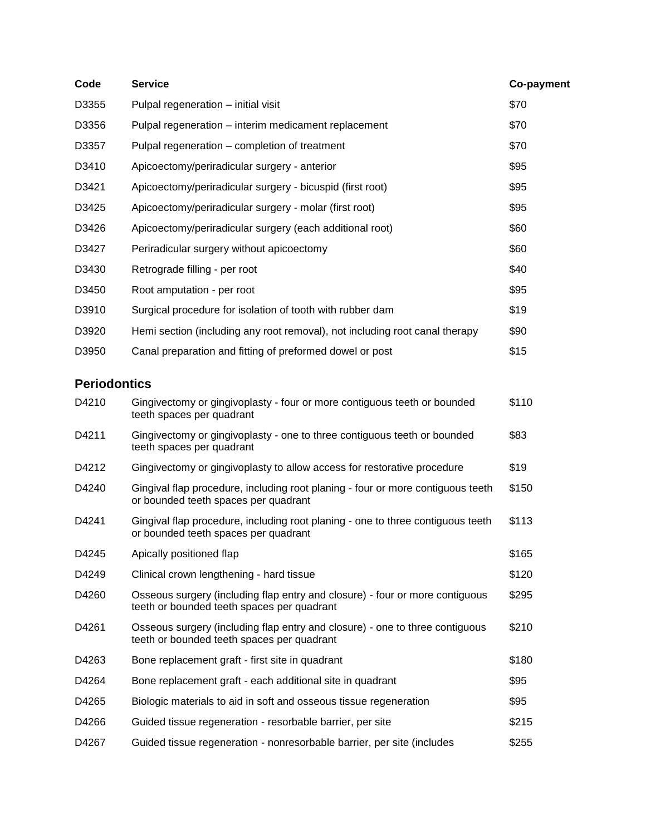| Code                | <b>Service</b>                                                                                                             | Co-payment |
|---------------------|----------------------------------------------------------------------------------------------------------------------------|------------|
| D3355               | Pulpal regeneration - initial visit                                                                                        | \$70       |
| D3356               | Pulpal regeneration - interim medicament replacement                                                                       | \$70       |
| D3357               | Pulpal regeneration - completion of treatment                                                                              | \$70       |
| D3410               | Apicoectomy/periradicular surgery - anterior                                                                               | \$95       |
| D3421               | Apicoectomy/periradicular surgery - bicuspid (first root)                                                                  | \$95       |
| D3425               | Apicoectomy/periradicular surgery - molar (first root)                                                                     | \$95       |
| D3426               | Apicoectomy/periradicular surgery (each additional root)                                                                   | \$60       |
| D3427               | Periradicular surgery without apicoectomy                                                                                  | \$60       |
| D3430               | Retrograde filling - per root                                                                                              | \$40       |
| D3450               | Root amputation - per root                                                                                                 | \$95       |
| D3910               | Surgical procedure for isolation of tooth with rubber dam                                                                  | \$19       |
| D3920               | Hemi section (including any root removal), not including root canal therapy                                                | \$90       |
| D3950               | Canal preparation and fitting of preformed dowel or post                                                                   | \$15       |
| <b>Periodontics</b> |                                                                                                                            |            |
| D4210               | Gingivectomy or gingivoplasty - four or more contiguous teeth or bounded<br>teeth spaces per quadrant                      | \$110      |
| D4211               | Gingivectomy or gingivoplasty - one to three contiguous teeth or bounded<br>teeth spaces per quadrant                      | \$83       |
| D4212               | Gingivectomy or gingivoplasty to allow access for restorative procedure                                                    | \$19       |
| D4240               | Gingival flap procedure, including root planing - four or more contiguous teeth<br>or bounded teeth spaces per quadrant    | \$150      |
| D4241               | Gingival flap procedure, including root planing - one to three contiguous teeth<br>or bounded teeth spaces per quadrant    | \$113      |
| D4245               | Apically positioned flap                                                                                                   | \$165      |
| D4249               | Clinical crown lengthening - hard tissue                                                                                   | \$120      |
| D4260               | Osseous surgery (including flap entry and closure) - four or more contiguous<br>teeth or bounded teeth spaces per quadrant | \$295      |
| D4261               | Osseous surgery (including flap entry and closure) - one to three contiguous<br>teeth or bounded teeth spaces per quadrant | \$210      |
| D4263               | Bone replacement graft - first site in quadrant                                                                            | \$180      |
| D4264               | Bone replacement graft - each additional site in quadrant                                                                  | \$95       |
| D4265               | Biologic materials to aid in soft and osseous tissue regeneration                                                          | \$95       |
| D4266               | Guided tissue regeneration - resorbable barrier, per site                                                                  | \$215      |
| D4267               | Guided tissue regeneration - nonresorbable barrier, per site (includes                                                     | \$255      |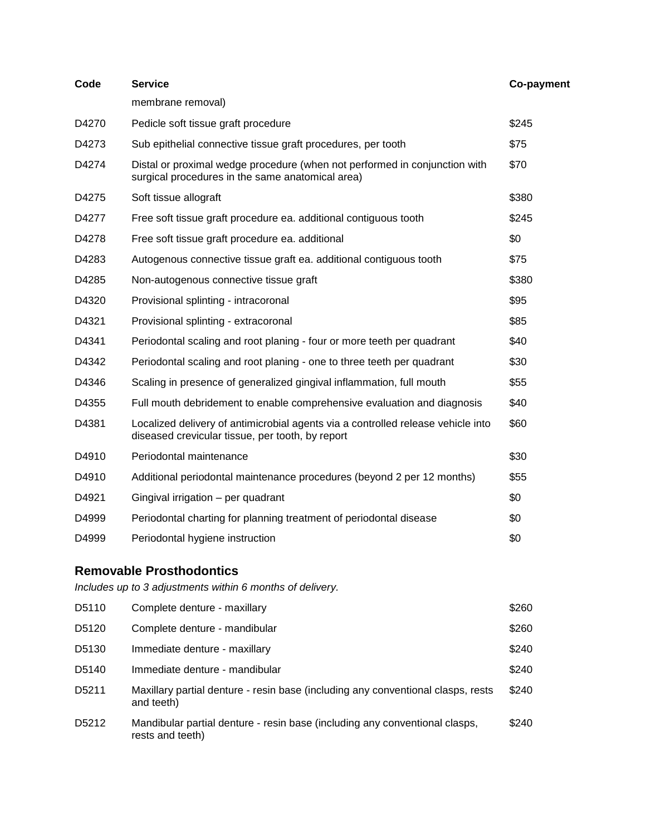| Code  | <b>Service</b>                                                                                                                       | Co-payment |
|-------|--------------------------------------------------------------------------------------------------------------------------------------|------------|
|       | membrane removal)                                                                                                                    |            |
| D4270 | Pedicle soft tissue graft procedure                                                                                                  | \$245      |
| D4273 | Sub epithelial connective tissue graft procedures, per tooth                                                                         | \$75       |
| D4274 | Distal or proximal wedge procedure (when not performed in conjunction with<br>surgical procedures in the same anatomical area)       | \$70       |
| D4275 | Soft tissue allograft                                                                                                                | \$380      |
| D4277 | Free soft tissue graft procedure ea. additional contiguous tooth                                                                     | \$245      |
| D4278 | Free soft tissue graft procedure ea. additional                                                                                      | \$0        |
| D4283 | Autogenous connective tissue graft ea. additional contiguous tooth                                                                   | \$75       |
| D4285 | Non-autogenous connective tissue graft                                                                                               | \$380      |
| D4320 | Provisional splinting - intracoronal                                                                                                 | \$95       |
| D4321 | Provisional splinting - extracoronal                                                                                                 | \$85       |
| D4341 | Periodontal scaling and root planing - four or more teeth per quadrant                                                               | \$40       |
| D4342 | Periodontal scaling and root planing - one to three teeth per quadrant                                                               | \$30       |
| D4346 | Scaling in presence of generalized gingival inflammation, full mouth                                                                 | \$55       |
| D4355 | Full mouth debridement to enable comprehensive evaluation and diagnosis                                                              | \$40       |
| D4381 | Localized delivery of antimicrobial agents via a controlled release vehicle into<br>diseased crevicular tissue, per tooth, by report | \$60       |
| D4910 | Periodontal maintenance                                                                                                              | \$30       |
| D4910 | Additional periodontal maintenance procedures (beyond 2 per 12 months)                                                               | \$55       |
| D4921 | Gingival irrigation - per quadrant                                                                                                   | \$0        |
| D4999 | Periodontal charting for planning treatment of periodontal disease                                                                   | \$0        |
| D4999 | Periodontal hygiene instruction                                                                                                      | \$0        |
|       |                                                                                                                                      |            |

### **Removable Prosthodontics**

*Includes up to 3 adjustments within 6 months of delivery.*

| D5110              | Complete denture - maxillary                                                                    | \$260 |
|--------------------|-------------------------------------------------------------------------------------------------|-------|
| D5120              | Complete denture - mandibular                                                                   | \$260 |
| D5130              | Immediate denture - maxillary                                                                   | \$240 |
| D <sub>5</sub> 140 | Immediate denture - mandibular                                                                  | \$240 |
| D5211              | Maxillary partial denture - resin base (including any conventional clasps, rests<br>and teeth)  | \$240 |
| D <sub>5212</sub>  | Mandibular partial denture - resin base (including any conventional clasps,<br>rests and teeth) | \$240 |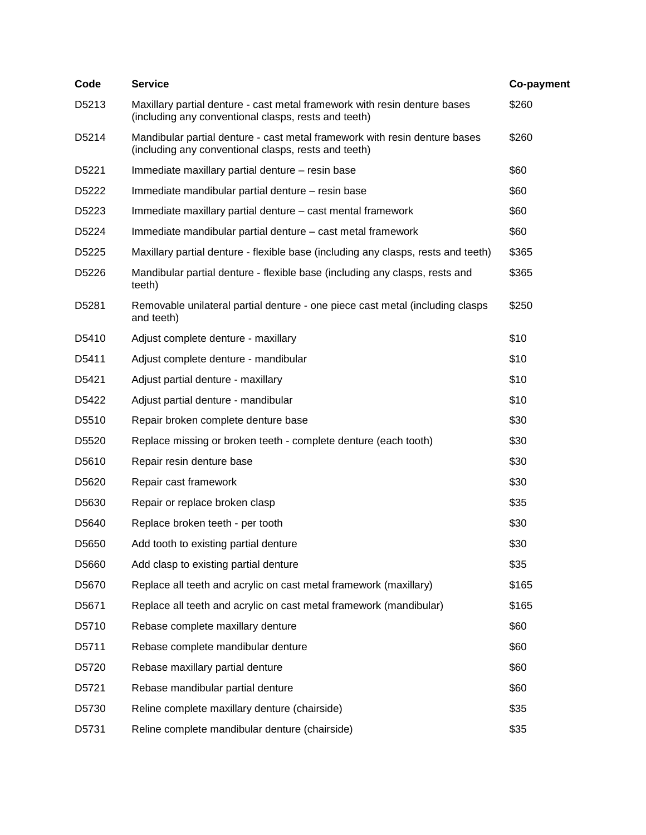| Code              | <b>Service</b>                                                                                                                     | Co-payment |
|-------------------|------------------------------------------------------------------------------------------------------------------------------------|------------|
| D5213             | Maxillary partial denture - cast metal framework with resin denture bases<br>(including any conventional clasps, rests and teeth)  | \$260      |
| D5214             | Mandibular partial denture - cast metal framework with resin denture bases<br>(including any conventional clasps, rests and teeth) | \$260      |
| D <sub>5221</sub> | Immediate maxillary partial denture - resin base                                                                                   | \$60       |
| D5222             | Immediate mandibular partial denture - resin base                                                                                  | \$60       |
| D5223             | Immediate maxillary partial denture - cast mental framework                                                                        | \$60       |
| D5224             | Immediate mandibular partial denture - cast metal framework                                                                        | \$60       |
| D5225             | Maxillary partial denture - flexible base (including any clasps, rests and teeth)                                                  | \$365      |
| D5226             | Mandibular partial denture - flexible base (including any clasps, rests and<br>teeth)                                              | \$365      |
| D5281             | Removable unilateral partial denture - one piece cast metal (including clasps<br>and teeth)                                        | \$250      |
| D5410             | Adjust complete denture - maxillary                                                                                                | \$10       |
| D5411             | Adjust complete denture - mandibular                                                                                               | \$10       |
| D5421             | Adjust partial denture - maxillary                                                                                                 | \$10       |
| D5422             | Adjust partial denture - mandibular                                                                                                | \$10       |
| D5510             | Repair broken complete denture base                                                                                                | \$30       |
| D5520             | Replace missing or broken teeth - complete denture (each tooth)                                                                    | \$30       |
| D5610             | Repair resin denture base                                                                                                          | \$30       |
| D5620             | Repair cast framework                                                                                                              | \$30       |
| D5630             | Repair or replace broken clasp                                                                                                     | \$35       |
| D5640             | Replace broken teeth - per tooth                                                                                                   | \$30       |
| D5650             | Add tooth to existing partial denture                                                                                              | \$30       |
| D5660             | Add clasp to existing partial denture                                                                                              | \$35       |
| D5670             | Replace all teeth and acrylic on cast metal framework (maxillary)                                                                  | \$165      |
| D5671             | Replace all teeth and acrylic on cast metal framework (mandibular)                                                                 | \$165      |
| D5710             | Rebase complete maxillary denture                                                                                                  | \$60       |
| D5711             | Rebase complete mandibular denture                                                                                                 | \$60       |
| D5720             | Rebase maxillary partial denture                                                                                                   | \$60       |
| D5721             | Rebase mandibular partial denture                                                                                                  | \$60       |
| D5730             | Reline complete maxillary denture (chairside)                                                                                      | \$35       |
| D5731             | Reline complete mandibular denture (chairside)                                                                                     | \$35       |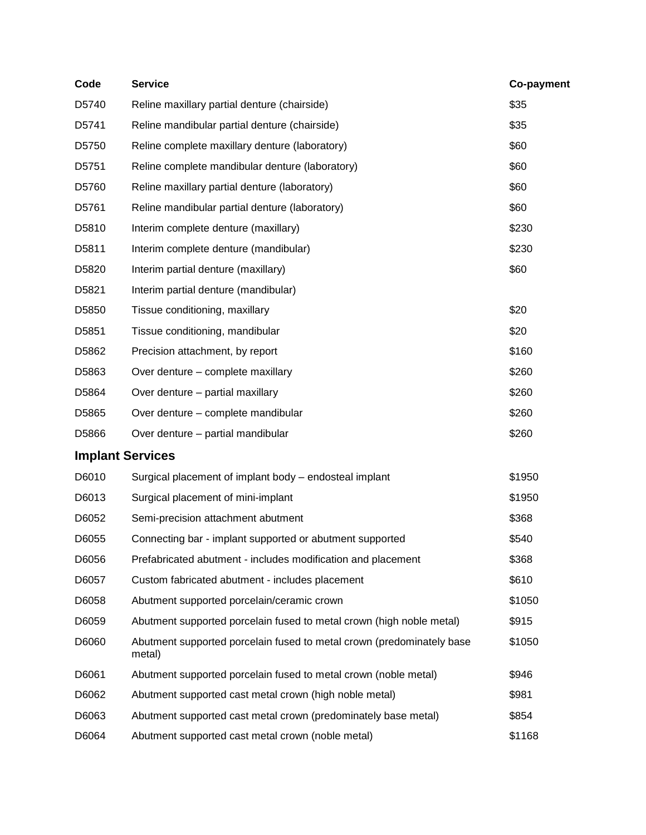| Code                    | <b>Service</b>                                                                  | Co-payment |
|-------------------------|---------------------------------------------------------------------------------|------------|
| D5740                   | Reline maxillary partial denture (chairside)                                    | \$35       |
| D5741                   | Reline mandibular partial denture (chairside)                                   | \$35       |
| D5750                   | Reline complete maxillary denture (laboratory)                                  | \$60       |
| D5751                   | Reline complete mandibular denture (laboratory)                                 | \$60       |
| D5760                   | Reline maxillary partial denture (laboratory)                                   | \$60       |
| D5761                   | Reline mandibular partial denture (laboratory)                                  | \$60       |
| D5810                   | Interim complete denture (maxillary)                                            | \$230      |
| D5811                   | Interim complete denture (mandibular)                                           | \$230      |
| D5820                   | Interim partial denture (maxillary)                                             | \$60       |
| D5821                   | Interim partial denture (mandibular)                                            |            |
| D5850                   | Tissue conditioning, maxillary                                                  | \$20       |
| D <sub>5851</sub>       | Tissue conditioning, mandibular                                                 | \$20       |
| D5862                   | Precision attachment, by report                                                 | \$160      |
| D5863                   | Over denture - complete maxillary                                               | \$260      |
| D5864                   | Over denture - partial maxillary                                                | \$260      |
| D5865                   | Over denture - complete mandibular                                              | \$260      |
| D5866                   | Over denture - partial mandibular                                               | \$260      |
| <b>Implant Services</b> |                                                                                 |            |
| D6010                   | Surgical placement of implant body - endosteal implant                          | \$1950     |
| D6013                   | Surgical placement of mini-implant                                              | \$1950     |
| D6052                   | Semi-precision attachment abutment                                              | \$368      |
| D6055                   | Connecting bar - implant supported or abutment supported                        | \$540      |
| D6056                   | Prefabricated abutment - includes modification and placement                    | \$368      |
| D6057                   | Custom fabricated abutment - includes placement                                 | \$610      |
| D6058                   | Abutment supported porcelain/ceramic crown                                      | \$1050     |
| D6059                   | Abutment supported porcelain fused to metal crown (high noble metal)            | \$915      |
| D6060                   | Abutment supported porcelain fused to metal crown (predominately base<br>metal) | \$1050     |
| D6061                   | Abutment supported porcelain fused to metal crown (noble metal)                 | \$946      |
| D6062                   | Abutment supported cast metal crown (high noble metal)                          | \$981      |
| D6063                   | Abutment supported cast metal crown (predominately base metal)                  | \$854      |
| D6064                   | Abutment supported cast metal crown (noble metal)                               | \$1168     |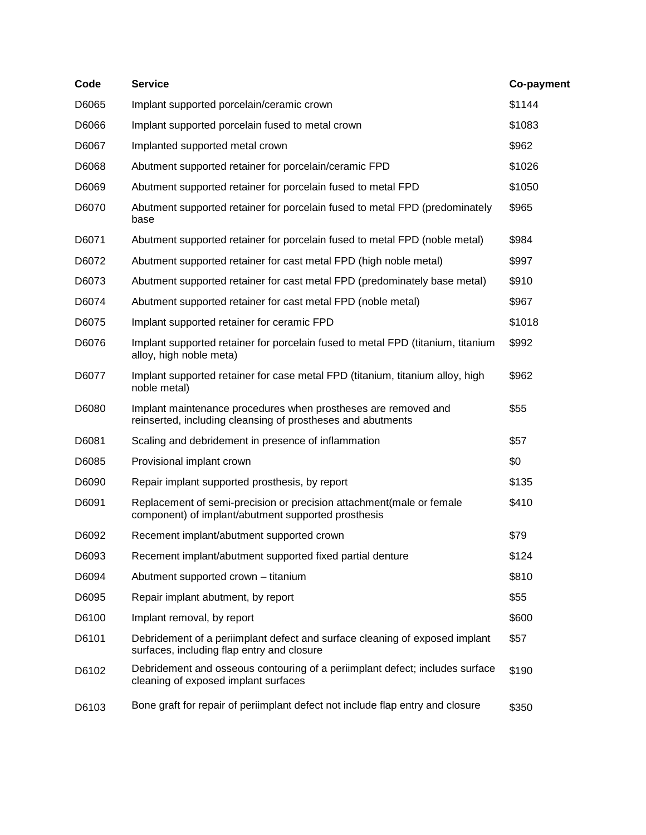| Code  | <b>Service</b>                                                                                                                | Co-payment |
|-------|-------------------------------------------------------------------------------------------------------------------------------|------------|
| D6065 | Implant supported porcelain/ceramic crown                                                                                     | \$1144     |
| D6066 | Implant supported porcelain fused to metal crown                                                                              | \$1083     |
| D6067 | Implanted supported metal crown                                                                                               | \$962      |
| D6068 | Abutment supported retainer for porcelain/ceramic FPD                                                                         | \$1026     |
| D6069 | Abutment supported retainer for porcelain fused to metal FPD                                                                  | \$1050     |
| D6070 | Abutment supported retainer for porcelain fused to metal FPD (predominately<br>base                                           | \$965      |
| D6071 | Abutment supported retainer for porcelain fused to metal FPD (noble metal)                                                    | \$984      |
| D6072 | Abutment supported retainer for cast metal FPD (high noble metal)                                                             | \$997      |
| D6073 | Abutment supported retainer for cast metal FPD (predominately base metal)                                                     | \$910      |
| D6074 | Abutment supported retainer for cast metal FPD (noble metal)                                                                  | \$967      |
| D6075 | Implant supported retainer for ceramic FPD                                                                                    | \$1018     |
| D6076 | Implant supported retainer for porcelain fused to metal FPD (titanium, titanium<br>alloy, high noble meta)                    | \$992      |
| D6077 | Implant supported retainer for case metal FPD (titanium, titanium alloy, high<br>noble metal)                                 | \$962      |
| D6080 | Implant maintenance procedures when prostheses are removed and<br>reinserted, including cleansing of prostheses and abutments | \$55       |
| D6081 | Scaling and debridement in presence of inflammation                                                                           | \$57       |
| D6085 | Provisional implant crown                                                                                                     | \$0        |
| D6090 | Repair implant supported prosthesis, by report                                                                                | \$135      |
| D6091 | Replacement of semi-precision or precision attachment(male or female<br>component) of implant/abutment supported prosthesis   | \$410      |
| D6092 | Recement implant/abutment supported crown                                                                                     | \$79       |
| D6093 | Recement implant/abutment supported fixed partial denture                                                                     | \$124      |
| D6094 | Abutment supported crown - titanium                                                                                           | \$810      |
| D6095 | Repair implant abutment, by report                                                                                            | \$55       |
| D6100 | Implant removal, by report                                                                                                    | \$600      |
| D6101 | Debridement of a periimplant defect and surface cleaning of exposed implant<br>surfaces, including flap entry and closure     | \$57       |
| D6102 | Debridement and osseous contouring of a periimplant defect; includes surface<br>cleaning of exposed implant surfaces          | \$190      |
| D6103 | Bone graft for repair of periimplant defect not include flap entry and closure                                                | \$350      |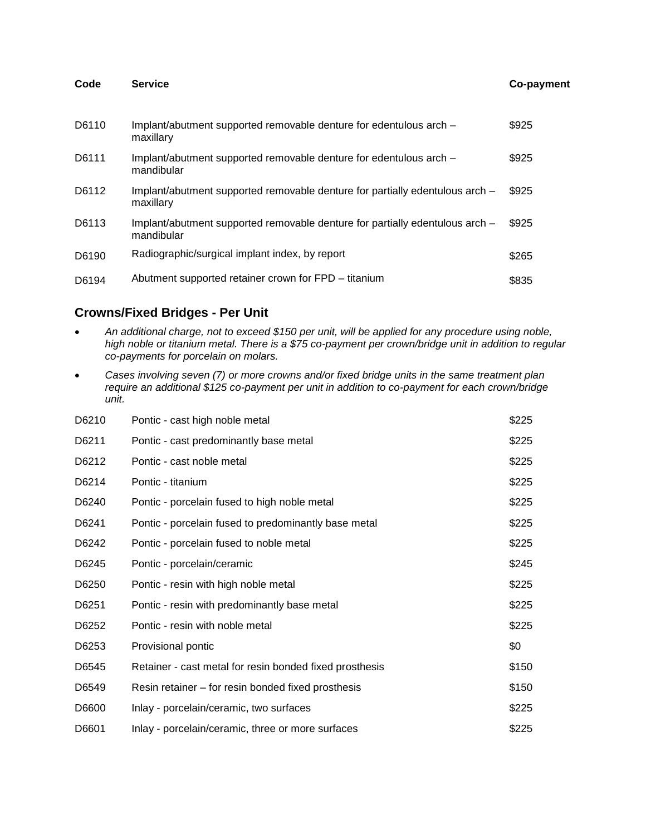| Code  | <b>Service</b>                                                                             | <b>Co-payment</b> |
|-------|--------------------------------------------------------------------------------------------|-------------------|
| D6110 | Implant/abutment supported removable denture for edentulous arch -<br>maxillary            | \$925             |
| D6111 | Implant/abutment supported removable denture for edentulous arch –<br>mandibular           | \$925             |
| D6112 | Implant/abutment supported removable denture for partially edentulous arch -<br>maxillary  | \$925             |
| D6113 | Implant/abutment supported removable denture for partially edentulous arch -<br>mandibular | \$925             |
| D6190 | Radiographic/surgical implant index, by report                                             | \$265             |
| D6194 | Abutment supported retainer crown for FPD – titanium                                       | \$835             |

### **Crowns/Fixed Bridges - Per Unit**

- *An additional charge, not to exceed \$150 per unit, will be applied for any procedure using noble, high noble or titanium metal. There is a \$75 co-payment per crown/bridge unit in addition to regular co-payments for porcelain on molars.*
- *Cases involving seven (7) or more crowns and/or fixed bridge units in the same treatment plan require an additional \$125 co-payment per unit in addition to co-payment for each crown/bridge unit.*

| D6210 | Pontic - cast high noble metal                          | \$225 |
|-------|---------------------------------------------------------|-------|
| D6211 | Pontic - cast predominantly base metal                  | \$225 |
| D6212 | Pontic - cast noble metal                               | \$225 |
| D6214 | Pontic - titanium                                       | \$225 |
| D6240 | Pontic - porcelain fused to high noble metal            | \$225 |
| D6241 | Pontic - porcelain fused to predominantly base metal    | \$225 |
| D6242 | Pontic - porcelain fused to noble metal                 | \$225 |
| D6245 | Pontic - porcelain/ceramic                              | \$245 |
| D6250 | Pontic - resin with high noble metal                    | \$225 |
| D6251 | Pontic - resin with predominantly base metal            | \$225 |
| D6252 | Pontic - resin with noble metal                         | \$225 |
| D6253 | Provisional pontic                                      | \$0   |
| D6545 | Retainer - cast metal for resin bonded fixed prosthesis | \$150 |
| D6549 | Resin retainer – for resin bonded fixed prosthesis      | \$150 |
| D6600 | Inlay - porcelain/ceramic, two surfaces                 | \$225 |
| D6601 | Inlay - porcelain/ceramic, three or more surfaces       | \$225 |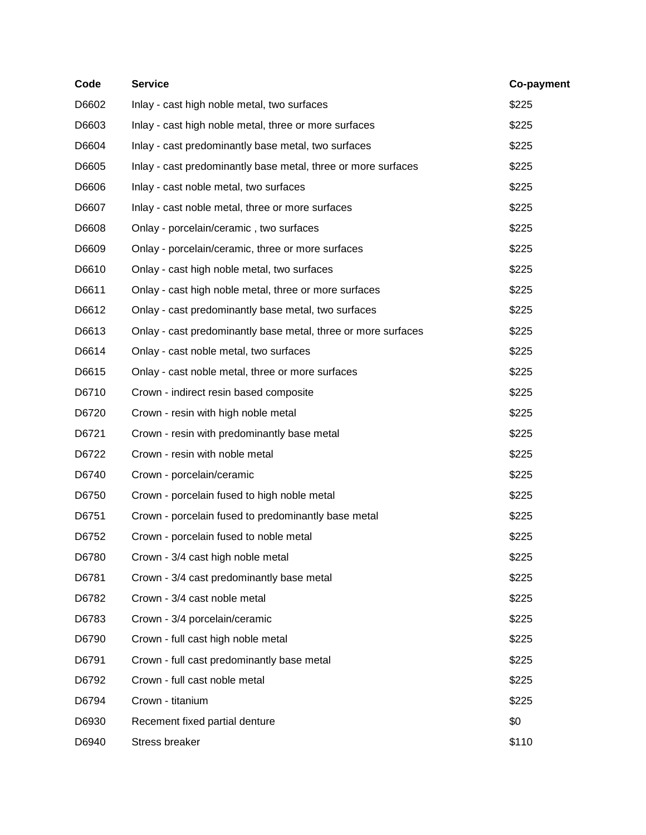| Code  | <b>Service</b>                                                | Co-payment |
|-------|---------------------------------------------------------------|------------|
| D6602 | Inlay - cast high noble metal, two surfaces                   | \$225      |
| D6603 | Inlay - cast high noble metal, three or more surfaces         | \$225      |
| D6604 | Inlay - cast predominantly base metal, two surfaces           | \$225      |
| D6605 | Inlay - cast predominantly base metal, three or more surfaces | \$225      |
| D6606 | Inlay - cast noble metal, two surfaces                        | \$225      |
| D6607 | Inlay - cast noble metal, three or more surfaces              | \$225      |
| D6608 | Onlay - porcelain/ceramic, two surfaces                       | \$225      |
| D6609 | Onlay - porcelain/ceramic, three or more surfaces             | \$225      |
| D6610 | Onlay - cast high noble metal, two surfaces                   | \$225      |
| D6611 | Onlay - cast high noble metal, three or more surfaces         | \$225      |
| D6612 | Onlay - cast predominantly base metal, two surfaces           | \$225      |
| D6613 | Onlay - cast predominantly base metal, three or more surfaces | \$225      |
| D6614 | Onlay - cast noble metal, two surfaces                        | \$225      |
| D6615 | Onlay - cast noble metal, three or more surfaces              | \$225      |
| D6710 | Crown - indirect resin based composite                        | \$225      |
| D6720 | Crown - resin with high noble metal                           | \$225      |
| D6721 | Crown - resin with predominantly base metal                   | \$225      |
| D6722 | Crown - resin with noble metal                                | \$225      |
| D6740 | Crown - porcelain/ceramic                                     | \$225      |
| D6750 | Crown - porcelain fused to high noble metal                   | \$225      |
| D6751 | Crown - porcelain fused to predominantly base metal           | \$225      |
| D6752 | Crown - porcelain fused to noble metal                        | \$225      |
| D6780 | Crown - 3/4 cast high noble metal                             | \$225      |
| D6781 | Crown - 3/4 cast predominantly base metal                     | \$225      |
| D6782 | Crown - 3/4 cast noble metal                                  | \$225      |
| D6783 | Crown - 3/4 porcelain/ceramic                                 | \$225      |
| D6790 | Crown - full cast high noble metal                            | \$225      |
| D6791 | Crown - full cast predominantly base metal                    | \$225      |
| D6792 | Crown - full cast noble metal                                 | \$225      |
| D6794 | Crown - titanium                                              | \$225      |
| D6930 | Recement fixed partial denture                                | \$0        |
| D6940 | Stress breaker                                                | \$110      |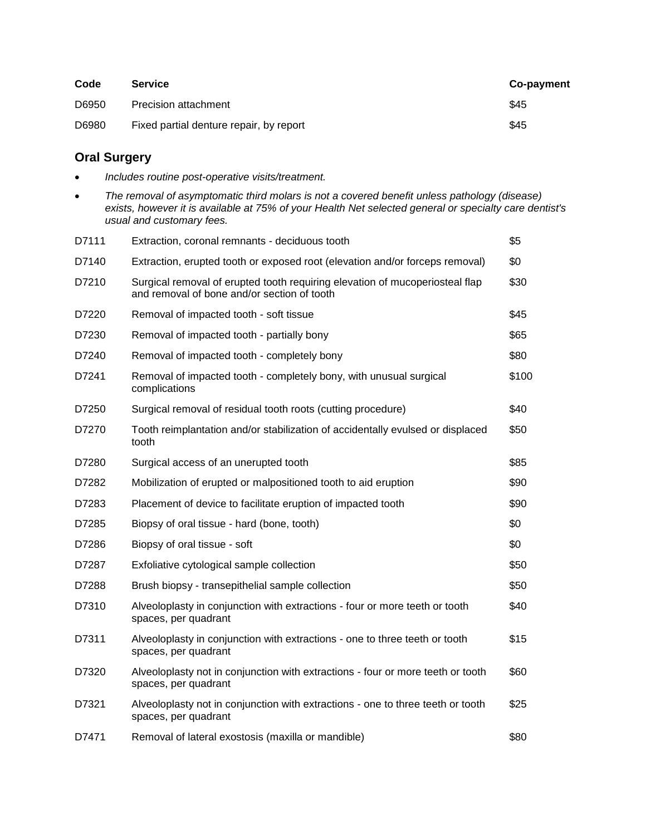| Code  | <b>Service</b>                          | Co-payment |
|-------|-----------------------------------------|------------|
| D6950 | Precision attachment                    | \$45       |
| D6980 | Fixed partial denture repair, by report | \$45       |

### **Oral Surgery**

- *Includes routine post-operative visits/treatment.*
- *The removal of asymptomatic third molars is not a covered benefit unless pathology (disease) exists, however it is available at 75% of your Health Net selected general or specialty care dentist's usual and customary fees.*

| Extraction, coronal remnants - deciduous tooth                                                                              | \$5   |
|-----------------------------------------------------------------------------------------------------------------------------|-------|
| Extraction, erupted tooth or exposed root (elevation and/or forceps removal)                                                | \$0   |
| Surgical removal of erupted tooth requiring elevation of mucoperiosteal flap<br>and removal of bone and/or section of tooth | \$30  |
| Removal of impacted tooth - soft tissue                                                                                     | \$45  |
| Removal of impacted tooth - partially bony                                                                                  | \$65  |
| Removal of impacted tooth - completely bony                                                                                 | \$80  |
| Removal of impacted tooth - completely bony, with unusual surgical<br>complications                                         | \$100 |
| Surgical removal of residual tooth roots (cutting procedure)                                                                | \$40  |
| Tooth reimplantation and/or stabilization of accidentally evulsed or displaced<br>tooth                                     | \$50  |
| Surgical access of an unerupted tooth                                                                                       | \$85  |
| Mobilization of erupted or malpositioned tooth to aid eruption                                                              | \$90  |
| Placement of device to facilitate eruption of impacted tooth                                                                | \$90  |
| Biopsy of oral tissue - hard (bone, tooth)                                                                                  | \$0   |
| Biopsy of oral tissue - soft                                                                                                | \$0   |
| Exfoliative cytological sample collection                                                                                   | \$50  |
| Brush biopsy - transepithelial sample collection                                                                            | \$50  |
| Alveoloplasty in conjunction with extractions - four or more teeth or tooth<br>spaces, per quadrant                         | \$40  |
| Alveoloplasty in conjunction with extractions - one to three teeth or tooth<br>spaces, per quadrant                         | \$15  |
| Alveoloplasty not in conjunction with extractions - four or more teeth or tooth<br>spaces, per quadrant                     | \$60  |
| Alveoloplasty not in conjunction with extractions - one to three teeth or tooth<br>spaces, per quadrant                     | \$25  |
| Removal of lateral exostosis (maxilla or mandible)                                                                          | \$80  |
|                                                                                                                             |       |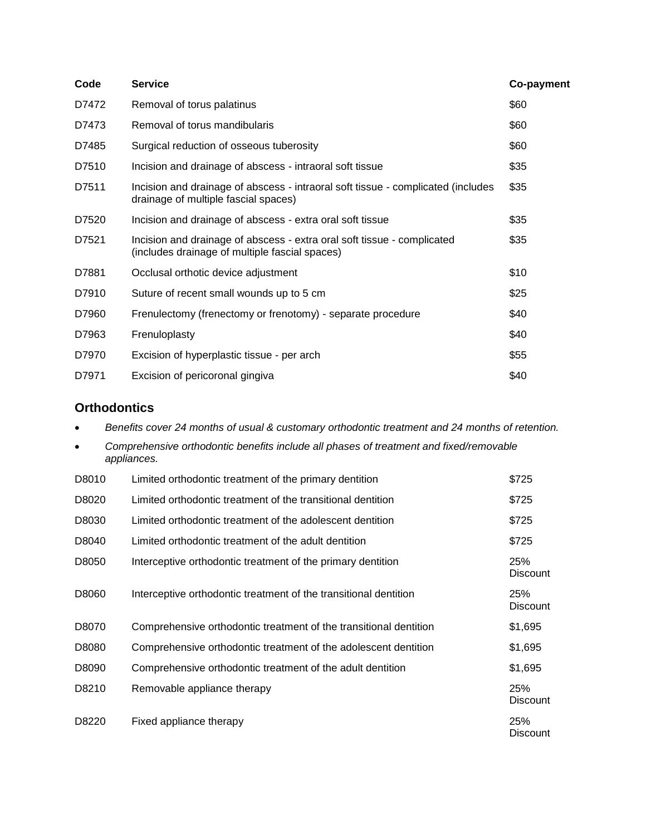| Code  | <b>Service</b>                                                                                                            | Co-payment |
|-------|---------------------------------------------------------------------------------------------------------------------------|------------|
| D7472 | Removal of torus palatinus                                                                                                | \$60       |
| D7473 | Removal of torus mandibularis                                                                                             | \$60       |
| D7485 | Surgical reduction of osseous tuberosity                                                                                  | \$60       |
| D7510 | Incision and drainage of abscess - intraoral soft tissue                                                                  | \$35       |
| D7511 | Incision and drainage of abscess - intraoral soft tissue - complicated (includes<br>drainage of multiple fascial spaces)  | \$35       |
| D7520 | Incision and drainage of abscess - extra oral soft tissue                                                                 | \$35       |
| D7521 | Incision and drainage of abscess - extra oral soft tissue - complicated<br>(includes drainage of multiple fascial spaces) | \$35       |
| D7881 | Occlusal orthotic device adjustment                                                                                       | \$10       |
| D7910 | Suture of recent small wounds up to 5 cm                                                                                  | \$25       |
| D7960 | Frenulectomy (frenectomy or frenotomy) - separate procedure                                                               | \$40       |
| D7963 | Frenuloplasty                                                                                                             | \$40       |
| D7970 | Excision of hyperplastic tissue - per arch                                                                                | \$55       |
| D7971 | Excision of pericoronal gingiva                                                                                           | \$40       |

### **Orthodontics**

*Benefits cover 24 months of usual & customary orthodontic treatment and 24 months of retention.*

| $\bullet$ | Comprehensive orthodontic benefits include all phases of treatment and fixed/removable<br>appliances. |       |  |
|-----------|-------------------------------------------------------------------------------------------------------|-------|--|
| D8010     | Limited orthodontic treatment of the primary dentition                                                | \$725 |  |
| D8020     | Limited orthodontic treatment of the transitional dentition                                           | \$725 |  |

| D8030 | Limited orthodontic treatment of the adolescent dentition         | \$725                         |
|-------|-------------------------------------------------------------------|-------------------------------|
| D8040 | Limited orthodontic treatment of the adult dentition              | \$725                         |
| D8050 | Interceptive orthodontic treatment of the primary dentition       | 25%<br><b>Discount</b>        |
| D8060 | Interceptive orthodontic treatment of the transitional dentition  | 25%<br><b>Discount</b>        |
| D8070 | Comprehensive orthodontic treatment of the transitional dentition | \$1,695                       |
| D8080 | Comprehensive orthodontic treatment of the adolescent dentition   | \$1,695                       |
| D8090 | Comprehensive orthodontic treatment of the adult dentition        | \$1,695                       |
| D8210 | Removable appliance therapy                                       | 25%<br><b>Discount</b>        |
| D8220 | Fixed appliance therapy                                           | <b>25%</b><br><b>Discount</b> |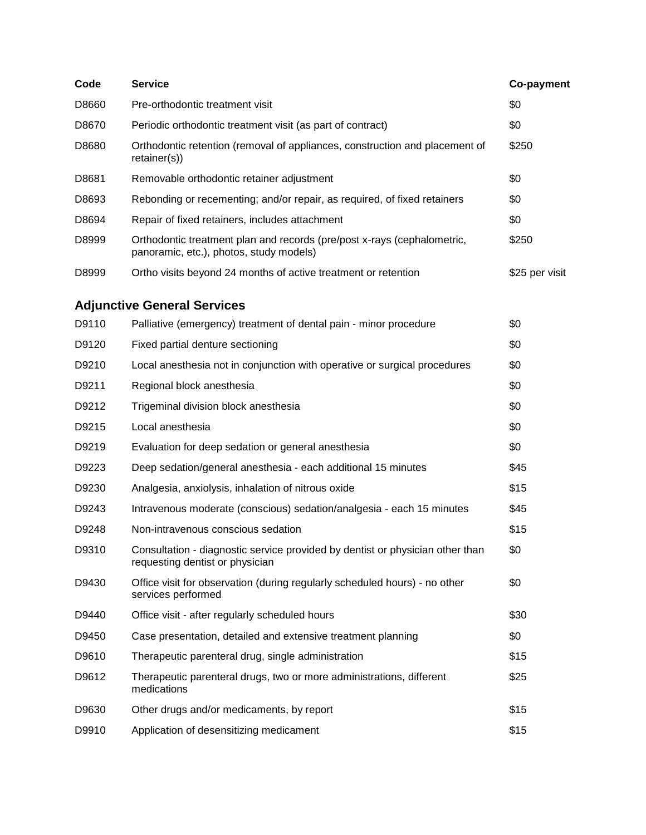| Code                               | <b>Service</b>                                                                                                     | <b>Co-payment</b> |  |
|------------------------------------|--------------------------------------------------------------------------------------------------------------------|-------------------|--|
| D8660                              | Pre-orthodontic treatment visit                                                                                    | \$0               |  |
| D8670                              | Periodic orthodontic treatment visit (as part of contract)                                                         | \$0               |  |
| D8680                              | Orthodontic retention (removal of appliances, construction and placement of<br>retainer(s))                        | \$250             |  |
| D8681                              | Removable orthodontic retainer adjustment                                                                          | \$0               |  |
| D8693                              | Rebonding or recementing; and/or repair, as required, of fixed retainers                                           | \$0               |  |
| D8694                              | Repair of fixed retainers, includes attachment                                                                     | \$0               |  |
| D8999                              | Orthodontic treatment plan and records (pre/post x-rays (cephalometric,<br>panoramic, etc.), photos, study models) | \$250             |  |
| D8999                              | Ortho visits beyond 24 months of active treatment or retention                                                     | \$25 per visit    |  |
| <b>Adjunctive General Services</b> |                                                                                                                    |                   |  |
| D9110                              | Palliative (emergency) treatment of dental pain - minor procedure                                                  | \$0               |  |
| D9120                              | Fixed partial denture sectioning                                                                                   | \$0               |  |
| D9210                              | Local anesthesia not in conjunction with operative or surgical procedures                                          | \$0               |  |
| D9211                              | Regional block anesthesia                                                                                          | \$0               |  |
| D9212                              | Trigeminal division block anesthesia                                                                               | \$0               |  |
| D9215                              | Local anesthesia                                                                                                   | \$0               |  |
| D9219                              | Evaluation for deep sedation or general anesthesia                                                                 | \$0               |  |
| D9223                              | Deep sedation/general anesthesia - each additional 15 minutes                                                      | \$45              |  |
| D9230                              | Analgesia, anxiolysis, inhalation of nitrous oxide                                                                 | \$15              |  |
| D9243                              | Intravenous moderate (conscious) sedation/analgesia - each 15 minutes                                              | \$45              |  |
| D9248                              | Non-intravenous conscious sedation                                                                                 | \$15              |  |
| D9310                              | Consultation - diagnostic service provided by dentist or physician other than<br>requesting dentist or physician   | \$0               |  |
| D9430                              | Office visit for observation (during regularly scheduled hours) - no other<br>services performed                   | \$0               |  |
| D9440                              | Office visit - after regularly scheduled hours                                                                     | \$30              |  |
| D9450                              | Case presentation, detailed and extensive treatment planning                                                       | \$0               |  |
| D9610                              | Therapeutic parenteral drug, single administration                                                                 | \$15              |  |
| D9612                              | Therapeutic parenteral drugs, two or more administrations, different<br>medications                                | \$25              |  |
| D9630                              | Other drugs and/or medicaments, by report                                                                          | \$15              |  |
| D9910                              | Application of desensitizing medicament                                                                            | \$15              |  |